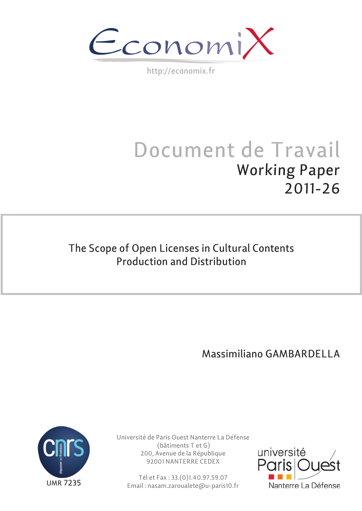EconomiX

http://economix.fr

# Document de Travail Working Paper 2011-26

# The Scope of Open Licenses in Cultural Contents Production and Distribution

Massimiliano GAMBARDELLA



Université de Paris Ouest Nanterre La Défense (bâtiments T et G) 200, Avenue de la République 92001 NANTERRE CEDEX

Tél et Fax : 33.(0)1.40.97.59.07 Email : nasam.zaroualete@u-paris10.fr

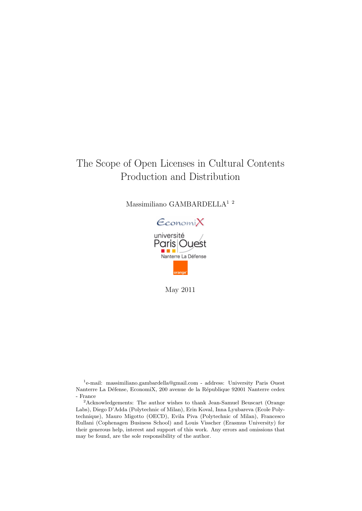# The Scope of Open Licenses in Cultural Contents Production and Distribution

Massimiliano GAMBARDELLA<sup>12</sup>



May 2011

<sup>&</sup>lt;sup>1</sup>e-mail: massimiliano.gambardella@gmail.com - address: University Paris Ouest Nanterre La Défense, EconomiX, 200 avenue de la République 92001 Nanterre cedex - France

<sup>&</sup>lt;sup>2</sup>Acknowledgements: The author wishes to thank Jean-Samuel Beuscart (Orange Labs), Diego D'Adda (Polytechnic of Milan), Erin Koval, Inna Lyubareva (Ecole Polytechnique), Mauro Migotto (OECD), Evila Piva (Polytechnic of Milan), Francesco Rullani (Cophenagen Business School) and Louis Visscher (Erasmus University) for their generous help, interest and support of this work. Any errors and omissions that may be found, are the sole responsibility of the author.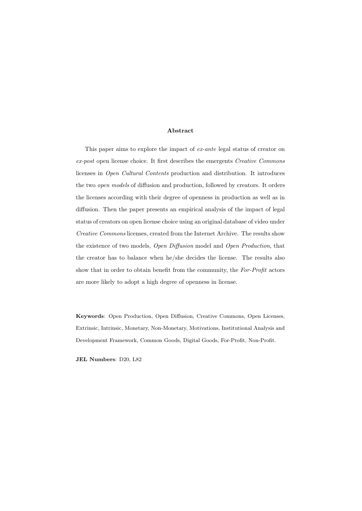#### Abstract

This paper aims to explore the impact of ex-ante legal status of creator on ex-post open license choice. It first describes the emergents Creative Commons licenses in Open Cultural Contents production and distribution. It introduces the two open models of diffusion and production, followed by creators. It orders the licenses according with their degree of openness in production as well as in diffusion. Then the paper presents an empirical analysis of the impact of legal status of creators on open license choice using an original database of video under Creative Commons licenses, created from the Internet Archive. The results show the existence of two models, Open Diffusion model and Open Production, that the creator has to balance when he/she decides the license. The results also show that in order to obtain benefit from the community, the For-Profit actors are more likely to adopt a high degree of openness in license.

Keywords: Open Production, Open Diffusion, Creative Commons, Open Licenses, Extrinsic, Intrinsic, Monetary, Non-Monetary, Motivations, Institutional Analysis and Development Framework, Common Goods, Digital Goods, For-Profit, Non-Profit.

JEL Numbers: D20, L82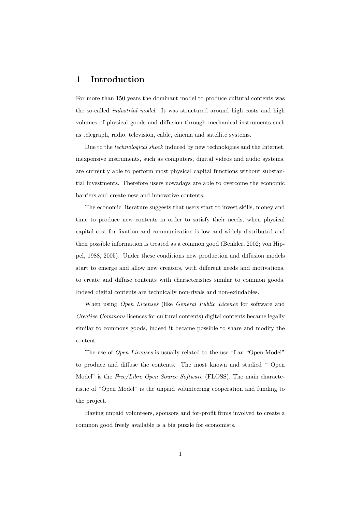# 1 Introduction

For more than 150 years the dominant model to produce cultural contents was the so-called *industrial model*. It was structured around high costs and high volumes of physical goods and diffusion through mechanical instruments such as telegraph, radio, television, cable, cinema and satellite systems.

Due to the *technological shock* induced by new technologies and the Internet, inexpensive instruments, such as computers, digital videos and audio systems, are currently able to perform most physical capital functions without substantial investments. Therefore users nowadays are able to overcome the economic barriers and create new and innovative contents.

The economic literature suggests that users start to invest skills, money and time to produce new contents in order to satisfy their needs, when physical capital cost for fixation and communication is low and widely distributed and then possible information is treated as a common good (Benkler, 2002; von Hippel, 1988, 2005). Under these conditions new production and diffusion models start to emerge and allow new creators, with different needs and motivations, to create and diffuse contents with characteristics similar to common goods. Indeed digital contents are technically non-rivals and non-exludables.

When using *Open Licenses* (like *General Public Licence* for software and Creative Commons licences for cultural contents) digital contents became legally similar to commons goods, indeed it became possible to share and modify the content.

The use of *Open Licenses* is usually related to the use of an "Open Model" to produce and diffuse the contents. The most known and studied " Open Model" is the Free/Libre Open Source Software (FLOSS). The main characteristic of "Open Model" is the unpaid volunteering cooperation and funding to the project.

Having unpaid volunteers, sponsors and for-profit firms involved to create a common good freely available is a big puzzle for economists.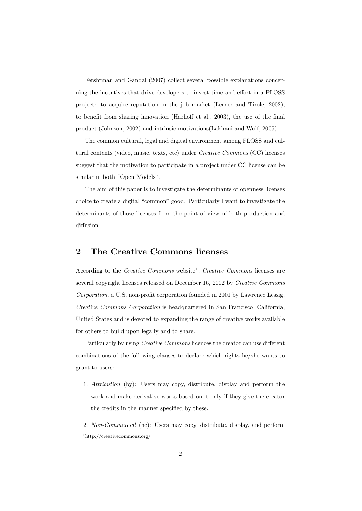Fershtman and Gandal (2007) collect several possible explanations concerning the incentives that drive developers to invest time and effort in a FLOSS project: to acquire reputation in the job market (Lerner and Tirole, 2002), to benefit from sharing innovation (Harhoff et al., 2003), the use of the final product (Johnson, 2002) and intrinsic motivations(Lakhani and Wolf, 2005).

The common cultural, legal and digital environment among FLOSS and cultural contents (video, music, texts, etc) under Creative Commons (CC) licenses suggest that the motivation to participate in a project under CC license can be similar in both "Open Models".

The aim of this paper is to investigate the determinants of openness licenses choice to create a digital "common" good. Particularly I want to investigate the determinants of those licenses from the point of view of both production and diffusion.

# 2 The Creative Commons licenses

According to the Creative Commons website<sup>1</sup>, Creative Commons licenses are several copyright licenses released on December 16, 2002 by Creative Commons Corporation, a U.S. non-profit corporation founded in 2001 by Lawrence Lessig. Creative Commons Corporation is headquartered in San Francisco, California, United States and is devoted to expanding the range of creative works available for others to build upon legally and to share.

Particularly by using Creative Commons licences the creator can use different combinations of the following clauses to declare which rights he/she wants to grant to users:

- 1. Attribution (by): Users may copy, distribute, display and perform the work and make derivative works based on it only if they give the creator the credits in the manner specified by these.
- 2. Non-Commercial (nc): Users may copy, distribute, display, and perform <sup>1</sup>http://creativecommons.org/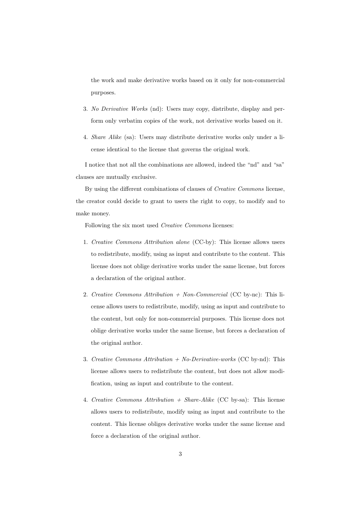the work and make derivative works based on it only for non-commercial purposes.

- 3. No Derivative Works (nd): Users may copy, distribute, display and perform only verbatim copies of the work, not derivative works based on it.
- 4. Share Alike (sa): Users may distribute derivative works only under a license identical to the license that governs the original work.

I notice that not all the combinations are allowed, indeed the "nd" and "sa" clauses are mutually exclusive.

By using the different combinations of clauses of Creative Commons license, the creator could decide to grant to users the right to copy, to modify and to make money.

Following the six most used *Creative Commons* licenses:

- 1. Creative Commons Attribution alone (CC-by): This license allows users to redistribute, modify, using as input and contribute to the content. This license does not oblige derivative works under the same license, but forces a declaration of the original author.
- 2. Creative Commons Attribution  $+$  Non-Commercial (CC by-nc): This license allows users to redistribute, modify, using as input and contribute to the content, but only for non-commercial purposes. This license does not oblige derivative works under the same license, but forces a declaration of the original author.
- 3. Creative Commons Attribution  $+$  No-Derivative-works (CC by-nd): This license allows users to redistribute the content, but does not allow modification, using as input and contribute to the content.
- 4. Creative Commons Attribution  $+$  Share-Alike (CC by-sa): This license allows users to redistribute, modify using as input and contribute to the content. This license obliges derivative works under the same license and force a declaration of the original author.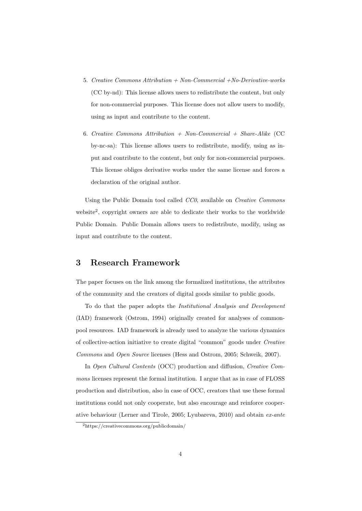- 5. Creative Commons Attribution  $+$  Non-Commercial  $+No$ -Derivative-works (CC by-nd): This license allows users to redistribute the content, but only for non-commercial purposes. This license does not allow users to modify, using as input and contribute to the content.
- 6. Creative Commons Attribution  $+$  Non-Commercial  $+$  Share-Alike (CC by-nc-sa): This license allows users to redistribute, modify, using as input and contribute to the content, but only for non-commercial purposes. This license obliges derivative works under the same license and forces a declaration of the original author.

Using the Public Domain tool called CC0, available on Creative Commons website<sup>2</sup>, copyright owners are able to dedicate their works to the worldwide Public Domain. Public Domain allows users to redistribute, modify, using as input and contribute to the content.

# 3 Research Framework

The paper focuses on the link among the formalized institutions, the attributes of the community and the creators of digital goods similar to public goods.

To do that the paper adopts the Institutional Analysis and Development (IAD) framework (Ostrom, 1994) originally created for analyses of commonpool resources. IAD framework is already used to analyze the various dynamics of collective-action initiative to create digital "common" goods under Creative Commons and Open Source licenses (Hess and Ostrom, 2005; Schweik, 2007).

In Open Cultural Contents (OCC) production and diffusion, Creative Commons licenses represent the formal institution. I argue that as in case of FLOSS production and distribution, also in case of OCC, creators that use these formal institutions could not only cooperate, but also encourage and reinforce cooperative behaviour (Lerner and Tirole, 2005; Lyubareva, 2010) and obtain ex-ante

<sup>2</sup>https://creativecommons.org/publicdomain/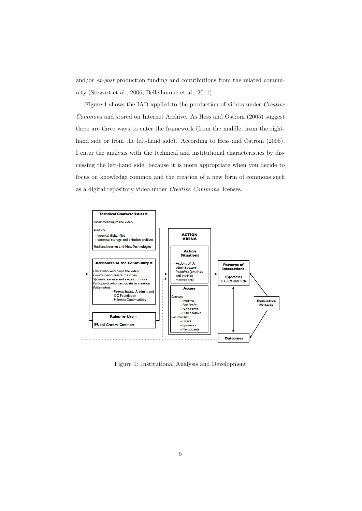and/or ex-post production funding and contributions from the related community (Stewart et al., 2006; Belleflamme et al., 2011).

Figure 1 shows the IAD applied to the production of videos under Creative Commons and stored on Internet Archive. As Hess and Ostrom (2005) suggest there are three ways to enter the framework (from the middle, from the righthand side or from the left-hand side). According to Hess and Ostrom  $(2005)$ , I enter the analysis with the technical and institutional characteristics by discussing the left-hand side, because it is more appropriate when you decide to focus on knowledge common and the creation of a new form of commons such as a digital repository video under Creative Commons licenses.



Figure 1: Institutional Analysis and Development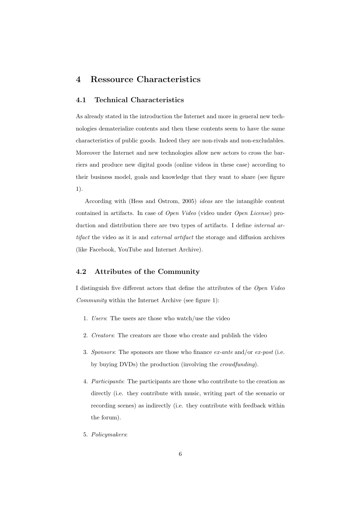# 4 Ressource Characteristics

#### 4.1 Technical Characteristics

As already stated in the introduction the Internet and more in general new technologies dematerialize contents and then these contents seem to have the same characteristics of public goods. Indeed they are non-rivals and non-excludables. Moreover the Internet and new technologies allow new actors to cross the barriers and produce new digital goods (online videos in these case) according to their business model, goals and knowledge that they want to share (see figure 1).

According with (Hess and Ostrom, 2005) ideas are the intangible content contained in artifacts. In case of Open Video (video under Open License) production and distribution there are two types of artifacts. I define *internal ar*tifact the video as it is and external artifact the storage and diffusion archives (like Facebook, YouTube and Internet Archive).

## 4.2 Attributes of the Community

I distinguish five different actors that define the attributes of the Open Video Community within the Internet Archive (see figure 1):

- 1. Users: The users are those who watch/use the video
- 2. Creators: The creators are those who create and publish the video
- 3. Sponsors: The sponsors are those who finance  $ex$ -ante and/or  $ex$ -post (i.e. by buying DVDs) the production (involving the crowdfunding).
- 4. Participants: The participants are those who contribute to the creation as directly (i.e. they contribute with music, writing part of the scenario or recording scenes) as indirectly (i.e. they contribute with feedback within the forum).
- 5. Policymakers: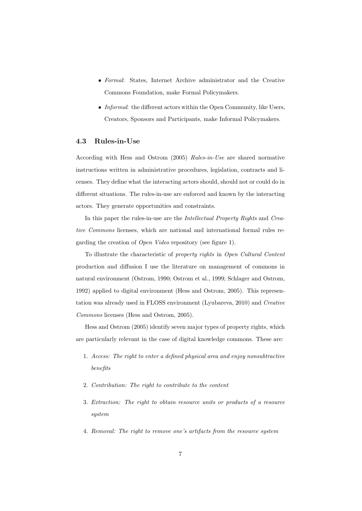- Formal: States, Internet Archive administrator and the Creative Commons Foundation, make Formal Policymakers.
- *Informal*: the different actors within the Open Community, like Users, Creators, Sponsors and Participants, make Informal Policymakers.

#### 4.3 Rules-in-Use

According with Hess and Ostrom (2005) Rules-in-Use are shared normative instructions written in administrative procedures, legislation, contracts and licenses. They define what the interacting actors should, should not or could do in different situations. The rules-in-use are enforced and known by the interacting actors. They generate opportunities and constraints.

In this paper the rules-in-use are the Intellectual Property Rights and Creative Commons licenses, which are national and international formal rules regarding the creation of Open Video repository (see figure 1).

To illustrate the characteristic of property rights in Open Cultural Content production and diffusion I use the literature on management of commons in natural environment (Ostrom, 1990; Ostrom et al., 1999; Schlager and Ostrom, 1992) applied to digital environment (Hess and Ostrom, 2005). This representation was already used in FLOSS environment (Lyubareva, 2010) and Creative Commons licenses (Hess and Ostrom, 2005).

Hess and Ostrom (2005) identify seven major types of property rights, which are particularly relevant in the case of digital knowledge commons. These are:

- 1. Access: The right to enter a defined physical area and enjoy nonsubtractive benefits
- 2. Contribution: The right to contribute to the content
- 3. Extraction: The right to obtain resource units or products of a resource system
- 4. Removal: The right to remove one's artifacts from the resource system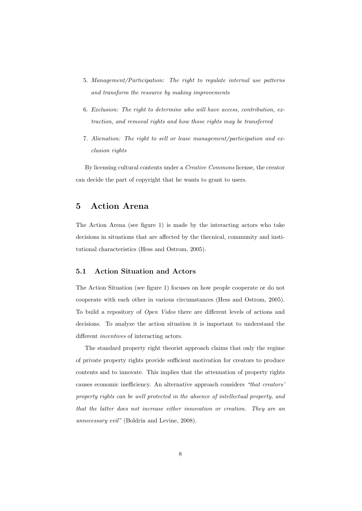- 5. Management/Participation: The right to regulate internal use patterns and transform the resource by making improvements
- 6. Exclusion: The right to determine who will have access, contribution, extraction, and removal rights and how those rights may be transferred
- 7. Alienation: The right to sell or lease management/participation and exclusion rights

By licensing cultural contents under a Creative Commons license, the creator can decide the part of copyright that he wants to grant to users.

# 5 Action Arena

The Action Arena (see figure 1) is made by the interacting actors who take decisions in situations that are affected by the thecnical, community and institutional characteristics (Hess and Ostrom, 2005).

## 5.1 Action Situation and Actors

The Action Situation (see figure 1) focuses on how people cooperate or do not cooperate with each other in various circumstances (Hess and Ostrom, 2005). To build a repository of Open Video there are different levels of actions and decisions. To analyze the action situation it is important to understand the different *incentives* of interacting actors.

The standard property right theorist approach claims that only the regime of private property rights provide sufficient motivation for creators to produce contents and to innovate. This implies that the attenuation of property rights causes economic inefficiency. An alternative approach considers "that creators' property rights can be well protected in the absence of intellectual property, and that the latter does not increase either innovation or creation. They are an unnecessary evil" (Boldrin and Levine, 2008).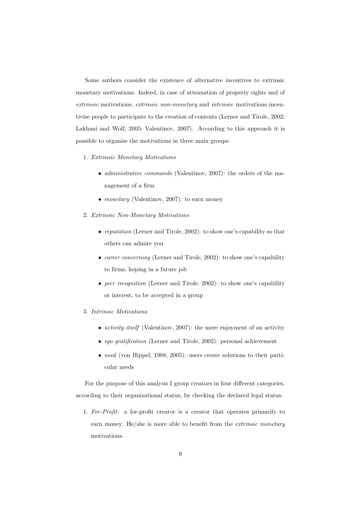Some authors consider the existence of alternative incentives to extrinsic monetary motivations. Indeed, in case of attenuation of property rights and of extrinsic motivations, extrinsic non-monetary and intrinsic motivations incentivise people to participate to the creation of contents (Lerner and Tirole, 2002; Lakhani and Wolf, 2005; Valentinov, 2007). According to this approach it is possible to organise the motivations in three main groups:

- 1. Extrinsic Monetary Motivations
	- *administrative commands* (Valentinov, 2007): the orders of the management of a firm
	- *monetary* (Valentinov, 2007): to earn money
- 2. Extrinsic Non-Monetary Motivations
	- reputation (Lerner and Tirole, 2002): to show one's capability so that others can admire you
	- *career concerning* (Lerner and Tirole, 2002): to show one's capability to firms, hoping in a future job
	- peer recognition (Lerner and Tirole, 2002): to show one's capability or interest, to be accepted in a group
- 3. Intrinsic Motivations
	- *activity itself* (Valentinov, 2007): the mere enjoyment of an activity
	- ego gratification (Lerner and Tirole, 2002): personal achievement
	- need (von Hippel, 1988, 2005): users create solutions to their particular needs

For the purpose of this analysis I group creators in four different categories, according to their organizational status, by checking the declared legal status.

1. For-Profit: a for-profit creator is a creator that operates primarily to earn money. He/she is more able to benefit from the *extrinsic monetary* motivations.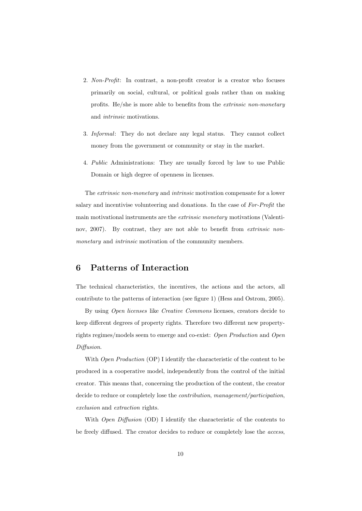- 2. Non-Profit: In contrast, a non-profit creator is a creator who focuses primarily on social, cultural, or political goals rather than on making profits. He/she is more able to benefits from the extrinsic non-monetary and intrinsic motivations.
- 3. Informal: They do not declare any legal status. They cannot collect money from the government or community or stay in the market.
- 4. Public Administrations: They are usually forced by law to use Public Domain or high degree of openness in licenses.

The extrinsic non-monetary and intrinsic motivation compensate for a lower salary and incentivise volunteering and donations. In the case of For-Profit the main motivational instruments are the extrinsic monetary motivations (Valentinov, 2007). By contrast, they are not able to benefit from *extrinsic non*monetary and *intrinsic* motivation of the community members.

# 6 Patterns of Interaction

The technical characteristics, the incentives, the actions and the actors, all contribute to the patterns of interaction (see figure 1) (Hess and Ostrom, 2005).

By using Open licenses like Creative Commons licenses, creators decide to keep different degrees of property rights. Therefore two different new propertyrights regimes/models seem to emerge and co-exist: Open Production and Open Diffusion.

With *Open Production* (OP) I identify the characteristic of the content to be produced in a cooperative model, independently from the control of the initial creator. This means that, concerning the production of the content, the creator decide to reduce or completely lose the *contribution*, management/participation, exclusion and extraction rights.

With *Open Diffusion* (OD) I identify the characteristic of the contents to be freely diffused. The creator decides to reduce or completely lose the access,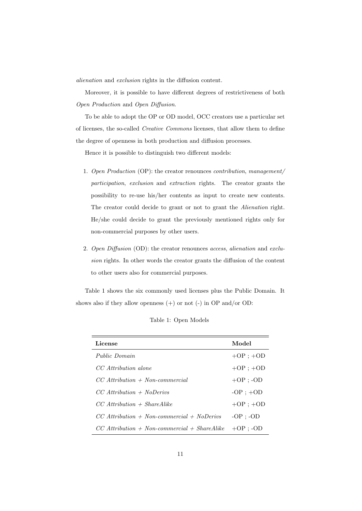alienation and exclusion rights in the diffusion content.

Moreover, it is possible to have different degrees of restrictiveness of both Open Production and Open Diffusion.

To be able to adopt the OP or OD model, OCC creators use a particular set of licenses, the so-called Creative Commons licenses, that allow them to define the degree of openness in both production and diffusion processes.

Hence it is possible to distinguish two different models:

- 1. Open Production (OP): the creator renounces contribution, management/ participation, exclusion and extraction rights. The creator grants the possibility to re-use his/her contents as input to create new contents. The creator could decide to grant or not to grant the Alienation right. He/she could decide to grant the previously mentioned rights only for non-commercial purposes by other users.
- 2. Open Diffusion (OD): the creator renounces access, alienation and exclusion rights. In other words the creator grants the diffusion of the content to other users also for commercial purposes.

Table 1 shows the six commonly used licenses plus the Public Domain. It shows also if they allow openness  $(+)$  or not  $(-)$  in OP and/or OD:

| License                                        | Model         |
|------------------------------------------------|---------------|
| Public Domain                                  | $+OP: +OD$    |
| CC Attribution alone                           | $+OP$ ; $+OD$ |
| $CC$ Attribution $+$ Non-commercial            | $+OP : -OD$   |
| $CC$ Attribution + NoDerivs                    | $-OP$ ; $+OD$ |
| $CC$ Attribution + ShareAlike                  | $+OP$ ; $+OD$ |
| $CC$ Attribution + Non-commercial + NoDerivs   | $-OP$ ; $-OD$ |
| $CC$ Attribution + Non-commercial + ShareAlike | $+OP : -OD$   |

Table 1: Open Models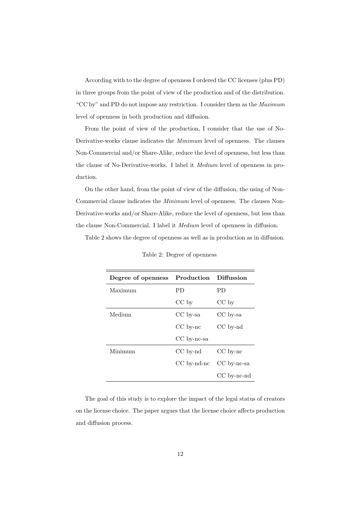According with to the degree of openness I ordered the CC licenses (plus PD) in three groups from the point of view of the production and of the distribution. "CC by" and PD do not impose any restriction. I consider them as the Maximum level of openness in both production and diffusion.

From the point of view of the production, I consider that the use of No-Derivative-works clause indicates the Minimum level of openness. The clauses Non-Commercial and/or Share-Alike, reduce the level of openness, but less than the clause of No-Derivative-works. I label it Medium level of openness in production.

On the other hand, from the point of view of the diffusion, the using of Non-Commercial clause indicates the Minimum level of openness. The clauses Non-Derivative-works and/or Share-Alike, reduce the level of openness, but less than the clause Non-Commercial. I label it Medium level of openness in diffusion.

Table 2 shows the degree of openness as well as in production as in diffusion.

| Degree of openness | Production    | <b>Diffussion</b> |
|--------------------|---------------|-------------------|
| Maximum            | PD.           | РD                |
|                    | $CC$ by       | $CC$ by           |
| Medium             | CC by-sa      | $CC$ by-sa        |
|                    | $CC$ by- $nc$ | $CC$ by- $nd$     |
|                    | CC by-nc-sa   |                   |
| Minimum            | $CC$ by-nd    | $CC$ by-nc        |
|                    | $CC$ by-nd-nc | CC by-nc-sa       |
|                    |               | $CC$ by-nc-nd     |

Table 2: Degree of openness

The goal of this study is to explore the impact of the legal status of creators on the license choice. The paper argues that the license choice affects production and diffusion process.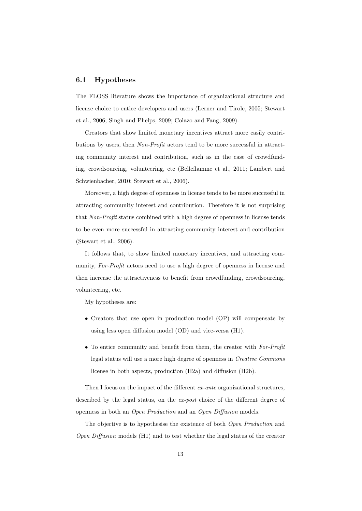#### 6.1 Hypotheses

The FLOSS literature shows the importance of organizational structure and license choice to entice developers and users (Lerner and Tirole, 2005; Stewart et al., 2006; Singh and Phelps, 2009; Colazo and Fang, 2009).

Creators that show limited monetary incentives attract more easily contributions by users, then Non-Profit actors tend to be more successful in attracting community interest and contribution, such as in the case of crowdfunding, crowdsourcing, volunteering, etc (Belleflamme et al., 2011; Lambert and Schwienbacher, 2010; Stewart et al., 2006).

Moreover, a high degree of openness in license tends to be more successful in attracting community interest and contribution. Therefore it is not surprising that Non-Profit status combined with a high degree of openness in license tends to be even more successful in attracting community interest and contribution (Stewart et al., 2006).

It follows that, to show limited monetary incentives, and attracting community, For-Profit actors need to use a high degree of openness in license and then increase the attractiveness to benefit from crowdfunding, crowdsourcing, volunteering, etc.

My hypotheses are:

- Creators that use open in production model (OP) will compensate by using less open diffusion model (OD) and vice-versa (H1).
- To entice community and benefit from them, the creator with For-Profit legal status will use a more high degree of openness in Creative Commons license in both aspects, production (H2a) and diffusion (H2b).

Then I focus on the impact of the different *ex-ante* organizational structures, described by the legal status, on the  $ex\text{-}post$  choice of the different degree of openness in both an Open Production and an Open Diffusion models.

The objective is to hypothesise the existence of both Open Production and Open Diffusion models (H1) and to test whether the legal status of the creator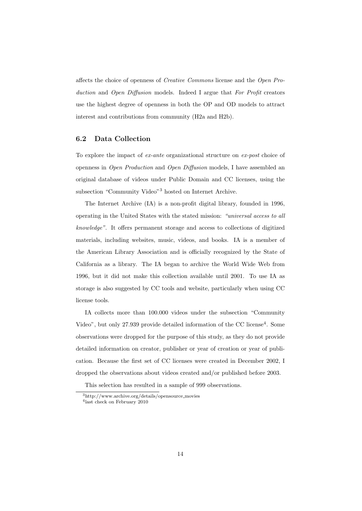affects the choice of openness of Creative Commons license and the Open Production and Open Diffusion models. Indeed I argue that For Profit creators use the highest degree of openness in both the OP and OD models to attract interest and contributions from community (H2a and H2b).

#### 6.2 Data Collection

To explore the impact of ex-ante organizational structure on ex-post choice of openness in Open Production and Open Diffusion models, I have assembled an original database of videos under Public Domain and CC licenses, using the subsection "Community Video"<sup>3</sup> hosted on Internet Archive.

The Internet Archive (IA) is a non-profit digital library, founded in 1996, operating in the United States with the stated mission: "universal access to all knowledge". It offers permanent storage and access to collections of digitized materials, including websites, music, videos, and books. IA is a member of the American Library Association and is officially recognized by the State of California as a library. The IA began to archive the World Wide Web from 1996, but it did not make this collection available until 2001. To use IA as storage is also suggested by CC tools and website, particularly when using CC license tools.

IA collects more than 100.000 videos under the subsection "Community Video", but only 27.939 provide detailed information of the CC license<sup>4</sup>. Some observations were dropped for the purpose of this study, as they do not provide detailed information on creator, publisher or year of creation or year of publication. Because the first set of CC licenses were created in December 2002, I dropped the observations about videos created and/or published before 2003.

This selection has resulted in a sample of 999 observations.

<sup>3</sup>http://www.archive.org/details/opensource movies

<sup>4</sup> last check on February 2010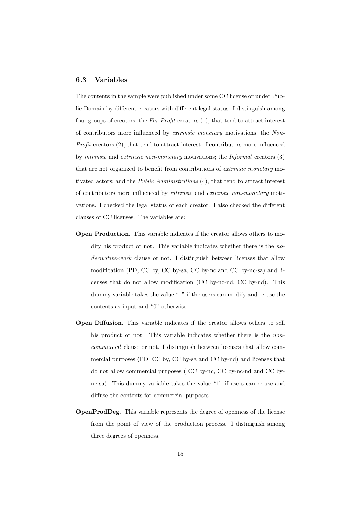#### 6.3 Variables

The contents in the sample were published under some CC license or under Public Domain by different creators with different legal status. I distinguish among four groups of creators, the  $For-Profit$  creators  $(1)$ , that tend to attract interest of contributors more influenced by extrinsic monetary motivations; the Non-Profit creators (2), that tend to attract interest of contributors more influenced by intrinsic and extrinsic non-monetary motivations; the Informal creators (3) that are not organized to benefit from contributions of *extrinsic monetary* motivated actors; and the Public Administrations (4), that tend to attract interest of contributors more influenced by intrinsic and extrinsic non-monetary motivations. I checked the legal status of each creator. I also checked the different clauses of CC licenses. The variables are:

- Open Production. This variable indicates if the creator allows others to modify his product or not. This variable indicates whether there is the noderivative-work clause or not. I distinguish between licenses that allow modification (PD, CC by, CC by-sa, CC by-nc and CC by-nc-sa) and licenses that do not allow modification (CC by-nc-nd, CC by-nd). This dummy variable takes the value "1" if the users can modify and re-use the contents as input and "0" otherwise.
- Open Diffusion. This variable indicates if the creator allows others to sell his product or not. This variable indicates whether there is the *non*commercial clause or not. I distinguish between licenses that allow commercial purposes (PD, CC by, CC by-sa and CC by-nd) and licenses that do not allow commercial purposes ( CC by-nc, CC by-nc-nd and CC bync-sa). This dummy variable takes the value "1" if users can re-use and diffuse the contents for commercial purposes.
- OpenProdDeg. This variable represents the degree of openness of the license from the point of view of the production process. I distinguish among three degrees of openness.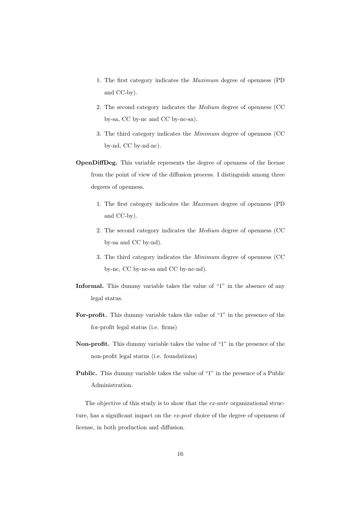- 1. The first category indicates the Maximum degree of openness (PD and CC-by).
- 2. The second category indicates the Medium degree of openness (CC by-sa, CC by-nc and CC by-nc-sa).
- 3. The third category indicates the Minimum degree of openness (CC by-nd, CC by-nd-nc).
- OpenDiffDeg. This variable represents the degree of openness of the license from the point of view of the diffusion process. I distinguish among three degrees of openness.
	- 1. The first category indicates the Maximum degree of openness (PD and CC-by).
	- 2. The second category indicates the Medium degree of openness (CC by-sa and CC by-nd).
	- 3. The third category indicates the Minimum degree of openness (CC by-nc, CC by-nc-sa and CC by-nc-nd).
- Informal. This dummy variable takes the value of "1" in the absence of any legal status.
- For-profit. This dummy variable takes the value of "1" in the presence of the for-profit legal status (i.e. firms)
- Non-profit. This dummy variable takes the value of "1" in the presence of the non-profit legal status (i.e. foundations)
- Public. This dummy variable takes the value of "1" in the presence of a Public Administration.

The objective of this study is to show that the *ex-ante* organizational structure, has a significant impact on the ex-post choice of the degree of openness of license, in both production and diffusion.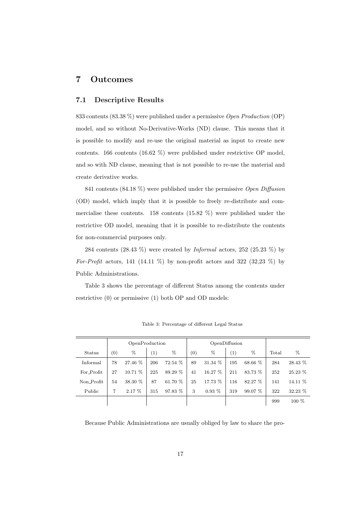# 7 Outcomes

#### 7.1 Descriptive Results

833 contents (83.38 %) were published under a permissive Open Production (OP) model, and so without No-Derivative-Works (ND) clause. This means that it is possible to modify and re-use the original material as input to create new contents. 166 contents (16.62 %) were published under restrictive OP model, and so with ND clause, meaning that is not possible to re-use the material and create derivative works.

841 contents (84.18 %) were published under the permissive Open Diffusion (OD) model, which imply that it is possible to freely re-distribute and commercialise these contents. 158 contents (15.82 %) were published under the restrictive OD model, meaning that it is possible to re-distribute the contents for non-commercial purposes only.

284 contents  $(28.43\%)$  were created by *Informal* actors, 252  $(25.23\%)$  by For-Profit actors, 141 (14.11 %) by non-profit actors and 322 (32,23 %) by Public Administrations.

Table 3 shows the percentage of different Status among the contents under restrictive (0) or permissive (1) both OP and OD models:

|            | OpenProduction   |         |                     | OpenDiffusion |     |           |                  |           |       |           |
|------------|------------------|---------|---------------------|---------------|-----|-----------|------------------|-----------|-------|-----------|
| Status     | $\left(0\right)$ | %       | $\scriptstyle{(1)}$ | %             | (0) | %         | $\left(1\right)$ | %         | Total | $\%$      |
| Informal   | 78               | 27.46 % | 206                 | 72.54 %       | 89  | 31.34 %   | 195              | 68.66 %   | 284   | 28.43 %   |
| For_Profit | 27               | 10.71 % | 225                 | 89.29 %       | 41  | $16.27\%$ | 211              | 83.73 %   | 252   | $25.23\%$ |
| Non_Profit | 54               | 38.30 % | 87                  | 61.70 %       | 25  | 17.73 %   | 116              | 82.27 %   | 141   | 14.11 \%  |
| Public     | 7                | 2.17%   | 315                 | 97.83 %       | 3   | $0.93\%$  | 319              | $99.07\%$ | 322   | 32.23 %   |
|            |                  |         |                     |               |     |           |                  |           | 999   | $100\%$   |

Table 3: Percentage of different Legal Status

Because Public Administrations are usually obliged by law to share the pro-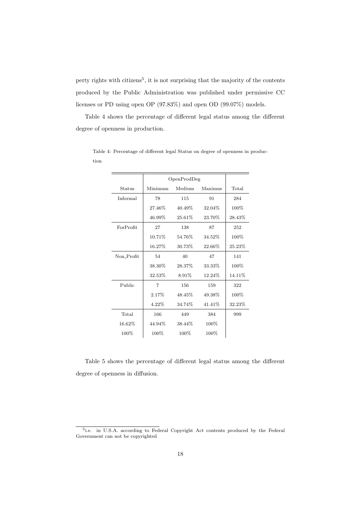perty rights with citizens<sup>5</sup>, it is not surprising that the majority of the contents produced by the Public Administration was published under permissive CC licenses or PD using open OP (97.83%) and open OD (99.07%) models.

Table 4 shows the percentage of different legal status among the different degree of openness in production.

| Minimum | Medium    | Maximus | Total       |
|---------|-----------|---------|-------------|
| 78      | 115       | 91      | 284         |
| 27.46%  | 40.49%    | 32.04%  | 100%        |
| 46.99%  | $25.61\%$ | 23.70%  | 28.43%      |
| 27      | 138       | 87      | 252         |
| 10.71%  | 54.76%    | 34.52%  | 100%        |
| 16.27%  | 30.73%    | 22.66%  | 25.23%      |
| 54      | 40        | 47      | 141         |
| 38.30%  | 28.37%    | 33.33%  | 100%        |
| 32.53%  | 8.91%     | 12.24%  | 14.11%      |
| 7       | 156       | 159     | 322         |
| 2.17%   | 48.45%    | 49.38%  | 100%        |
| 4.22%   | 34.74%    | 41.41%  | 32.23%      |
| 166     | 449       | 384     | 999         |
| 44.94%  | 38.44%    | 100%    |             |
| 100\%   | 100%      | $100\%$ |             |
|         |           |         | OpenProdDeg |

Table 4: Percentage of different legal Status on degree of openness in production

Table 5 shows the percentage of different legal status among the different degree of openness in diffusion.

<sup>&</sup>lt;sup>5</sup>i.e. in U.S.A. according to Federal Copyright Act contents produced by the Federal Government can not be copyrighted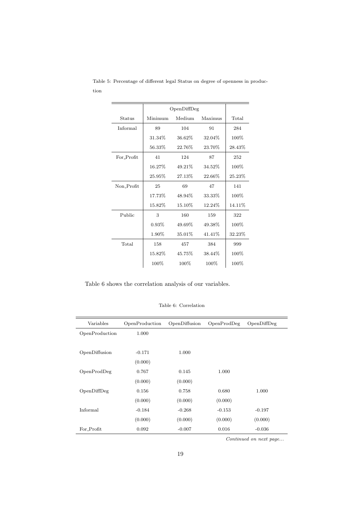|            | OpenDiffDeg |         |         |         |
|------------|-------------|---------|---------|---------|
| Status     | Minimum     | Medium  | Maximus | Total   |
| Informal   | 89          | 104     | 91      | 284     |
|            | 31.34%      | 36.62%  | 32.04%  | 100\%   |
|            | 56.33%      | 22.76%  | 23.70%  | 28.43\% |
| For Profit | 41          | 124     | 87      | 252     |
|            | 16.27%      | 49.21\% | 34.52%  | $100\%$ |
|            | 25.95%      | 27.13%  | 22.66%  | 25.23%  |
| Non Profit | 25          | 69      | 47      | 141     |
|            | 17.73%      | 48.94%  | 33.33%  | 100%    |
|            | 15.82%      | 15.10%  | 12.24%  | 14.11%  |
| Public     | 3           | 160     | 159     | 322     |
|            | $0.93\%$    | 49.69%  | 49.38%  | 100\%   |
|            | 1.90%       | 35.01%  | 41.41%  | 32.23%  |
| Total      | 158         | 457     | 384     | 999     |
|            | 15.82%      | 45.75%  | 38.44%  | 100\%   |
|            | 100\%       | $100\%$ | $100\%$ | $100\%$ |

Table 5: Percentage of different legal Status on degree of openness in production

Table 6 shows the correlation analysis of our variables.

#### Table 6: Correlation

| Variables      | OpenProduction | OpenDiffusion | OpenProdDeg | OpenDiffDeg |
|----------------|----------------|---------------|-------------|-------------|
| OpenProduction | 1.000          |               |             |             |
|                |                |               |             |             |
| OpenDiffusion  | $-0.171$       | 1.000         |             |             |
|                | (0.000)        |               |             |             |
| OpenProdDeg    | 0.767          | 0.145         | 1.000       |             |
|                | (0.000)        | (0.000)       |             |             |
| OpenDiffDeg    | 0.156          | 0.758         | 0.680       | 1.000       |
|                | (0.000)        | (0.000)       | (0.000)     |             |
| Informal       | $-0.184$       | $-0.268$      | $-0.153$    | $-0.197$    |
|                | (0.000)        | (0.000)       | (0.000)     | (0.000)     |
| For_Profit     | 0.092          | $-0.007$      | 0.016       | $-0.036$    |

Continued on next page...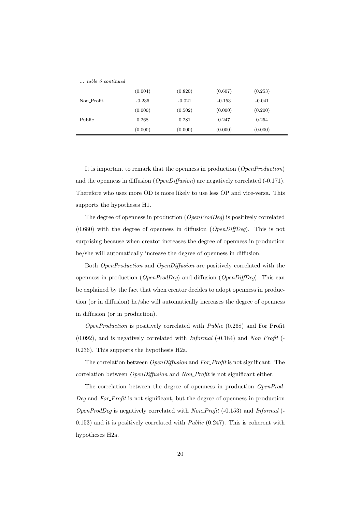| $\ldots$ table 6 continued |          |          |          |          |  |
|----------------------------|----------|----------|----------|----------|--|
|                            | (0.004)  | (0.820)  | (0.607)  | (0.253)  |  |
| Non Profit                 | $-0.236$ | $-0.021$ | $-0.153$ | $-0.041$ |  |
|                            | (0.000)  | (0.502)  | (0.000)  | (0.200)  |  |
| Public                     | 0.268    | 0.281    | 0.247    | 0.254    |  |
|                            | (0.000)  | (0.000)  | (0.000)  | (0.000)  |  |

It is important to remark that the openness in production (OpenProduction) and the openness in diffusion ( $OpenDiffusion$ ) are negatively correlated (-0.171). Therefore who uses more OD is more likely to use less OP and vice-versa. This supports the hypotheses H1.

The degree of openness in production (OpenProdDeg) is positively correlated  $(0.680)$  with the degree of openness in diffusion  $(\textit{OpenDiffDeg})$ . This is not surprising because when creator increases the degree of openness in production he/she will automatically increase the degree of openness in diffusion.

Both OpenProduction and OpenDiffusion are positively correlated with the openness in production ( $OpenProdDeq$ ) and diffusion ( $OpenDiffDeq$ ). This can be explained by the fact that when creator decides to adopt openness in production (or in diffusion) he/she will automatically increases the degree of openness in diffusion (or in production).

OpenProduction is positively correlated with Public (0.268) and For Profit  $(0.092)$ , and is negatively correlated with *Informal*  $(-0.184)$  and *Non-Profit*  $(-0.184)$ 0.236). This supports the hypothesis H2a.

The correlation between *OpenDiffusion* and *For\_Profit* is not significant. The correlation between *OpenDiffusion* and *Non\_Profit* is not significant either.

The correlation between the degree of openness in production OpenProd-Deg and For Profit is not significant, but the degree of openness in production  $OpenProdDeq$  is negatively correlated with  $Non\text{-}Profit ( -0.153)$  and Informal (- $(0.153)$  and it is positively correlated with *Public*  $(0.247)$ . This is coherent with hypotheses H2a.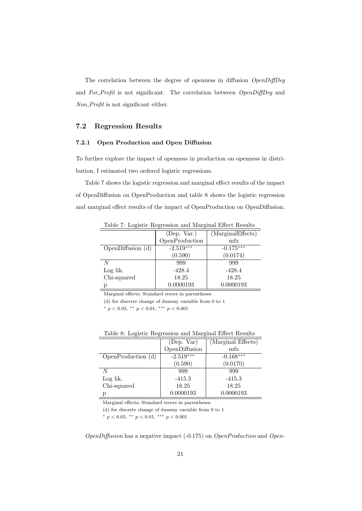The correlation between the degree of openness in diffusion  $OpenDiffDeg$ and For\_Profit is not significant. The correlation between OpenDiffDeg and Non Profit is not significant either.

#### 7.2 Regression Results

#### 7.2.1 Open Production and Open Diffusion

To further explore the impact of openness in production on openness in distribution, I estimated two ordered logistic regressions.

Table 7 shows the logistic regression and marginal effect results of the impact of OpenDiffusion on OpenProduction and table 8 shows the logistic regression and marginal effect results of the impact of OpenProduction on OpenDiffusion.

|                   | (Dep. Var.)    | (MarginalEffects) |  |  |  |
|-------------------|----------------|-------------------|--|--|--|
|                   | OpenProduction | mfx               |  |  |  |
| OpenDiffusion (d) | $-2.519***$    | $-0.175***$       |  |  |  |
|                   | (0.590)        | (0.0174)          |  |  |  |
|                   | 999            | 999               |  |  |  |
| Log lik.          | $-428.4$       | $-428.4$          |  |  |  |
| Chi-squared       | 18.25          | 18.25             |  |  |  |
|                   | 0.0000193      | 0.0000193         |  |  |  |

Table 7: Logistic Regression and Marginal Effect Results

Marginal effects; Standard errors in parentheses

(d) for discrete change of dummy variable from 0 to 1

<sup>∗</sup> p < 0.05, ∗∗ p < 0.01, ∗∗∗ p < 0.001

|  |  | Table 8: Logistic Regression and Marginal Effect Results |
|--|--|----------------------------------------------------------|
|  |  |                                                          |

|                    | (Dep. Var)    | (Marginal Effects) |
|--------------------|---------------|--------------------|
|                    | OpenDiffusion | mfx                |
| OpenProduction (d) | $-2.519***$   | $-0.168***$        |
|                    | (0.590)       | (0.0170)           |
| N                  | 999           | 999                |
| Log lik.           | $-415.3$      | $-415.3$           |
| Chi-squared        | 18.25         | 18.25              |
|                    | 0.0000193     | 0.0000193          |

Marginal effects; Standard errors in parentheses

(d) for discrete change of dummy variable from 0 to 1

<sup>∗</sup> p < 0.05, ∗∗ p < 0.01, ∗∗∗ p < 0.001

 $OpenDiffusion$  has a negative impact (-0.175) on  $OpenProduction$  and  $Open$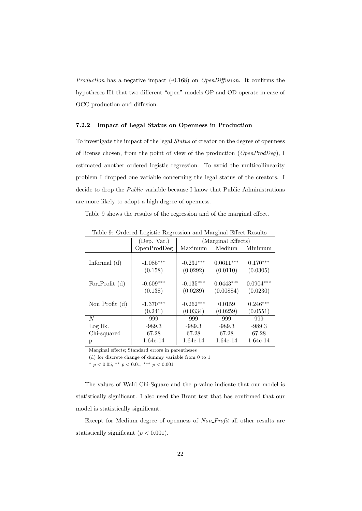Production has a negative impact (-0.168) on *OpenDiffusion*. It confirms the hypotheses H1 that two different "open" models OP and OD operate in case of OCC production and diffusion.

#### 7.2.2 Impact of Legal Status on Openness in Production

To investigate the impact of the legal Status of creator on the degree of openness of license chosen, from the point of view of the production  $(\textit{OpenProdDeg})$ , I estimated another ordered logistic regression. To avoid the multicollinearity problem I dropped one variable concerning the legal status of the creators. I decide to drop the *Public* variable because I know that Public Administrations are more likely to adopt a high degree of openness.

Table 9 shows the results of the regression and of the marginal effect.

| or decred 20 partie respectively and ritual prices recognition |             |                    |             |             |  |  |
|----------------------------------------------------------------|-------------|--------------------|-------------|-------------|--|--|
|                                                                | (Dep. Var.) | (Marginal Effects) |             |             |  |  |
|                                                                | OpenProdDeg | Maximum            | Medium      | Minimum     |  |  |
| Informal $(d)$                                                 | $-1.085***$ | $-0.231***$        | $0.0611***$ | $0.170***$  |  |  |
|                                                                | (0.158)     | (0.0292)           | (0.0110)    | (0.0305)    |  |  |
| For Profit $(d)$                                               | $-0.609***$ | $-0.135***$        | $0.0443***$ | $0.0904***$ |  |  |
|                                                                | (0.138)     | (0.0289)           | (0.00884)   | (0.0230)    |  |  |
| Non_Profit $(d)$                                               | $-1.370***$ | $-0.262***$        | 0.0159      | $0.246***$  |  |  |
|                                                                | (0.241)     | (0.0334)           | (0.0259)    | (0.0551)    |  |  |
| $\overline{N}$                                                 | 999         | 999                | 999         | 999         |  |  |
| Log lik.                                                       | $-989.3$    | $-989.3$           | $-989.3$    | $-989.3$    |  |  |
| Chi-squared                                                    | 67.28       | 67.28              | 67.28       | 67.28       |  |  |
| р                                                              | 1.64e-14    | 1.64e-14           | 1.64e-14    | 1.64e-14    |  |  |

Table 9: Ordered Logistic Regression and Marginal Effect Results

Marginal effects; Standard errors in parentheses

(d) for discrete change of dummy variable from 0 to 1

\*  $p < 0.05$ , \*\*  $p < 0.01$ , \*\*\*  $p < 0.001$ 

The values of Wald Chi-Square and the p-value indicate that our model is statistically significant. I also used the Brant test that has confirmed that our model is statistically significant.

Except for Medium degree of openness of Non\_Profit all other results are statistically significant  $(p < 0.001)$ .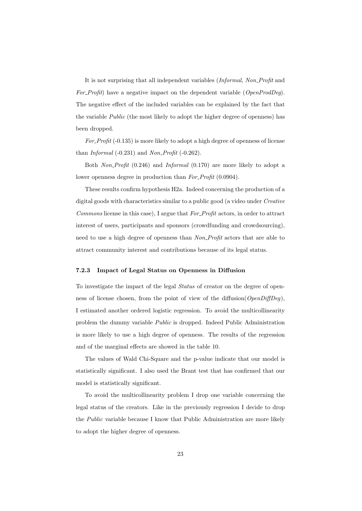It is not surprising that all independent variables (Informal, Non Profit and For Profit) have a negative impact on the dependent variable ( $OpenProdDeg$ ). The negative effect of the included variables can be explained by the fact that the variable *Public* (the most likely to adopt the higher degree of openness) has been dropped.

 $For \textit{Profit}(-0.135)$  is more likely to adopt a high degree of openness of license than Informal  $(-0.231)$  and Non-Profit  $(-0.262)$ .

Both Non\_Profit (0.246) and Informal (0.170) are more likely to adopt a lower openness degree in production than  $For \textit{Profit} (0.0904)$ .

These results confirm hypothesis H2a. Indeed concerning the production of a digital goods with characteristics similar to a public good (a video under Creative Commons license in this case), I argue that For Profit actors, in order to attract interest of users, participants and sponsors (crowdfunding and crowdsourcing), need to use a high degree of openness than Non\_Profit actors that are able to attract community interest and contributions because of its legal status.

#### 7.2.3 Impact of Legal Status on Openness in Diffusion

To investigate the impact of the legal Status of creator on the degree of openness of license chosen, from the point of view of the diffusion( $OpenDiffDeg$ ), I estimated another ordered logistic regression. To avoid the multicollinearity problem the dummy variable Public is dropped. Indeed Public Administration is more likely to use a high degree of openness. The results of the regression and of the marginal effects are showed in the table 10.

The values of Wald Chi-Square and the p-value indicate that our model is statistically significant. I also used the Brant test that has confirmed that our model is statistically significant.

To avoid the multicollinearity problem I drop one variable concerning the legal status of the creators. Like in the previously regression I decide to drop the Public variable because I know that Public Administration are more likely to adopt the higher degree of openness.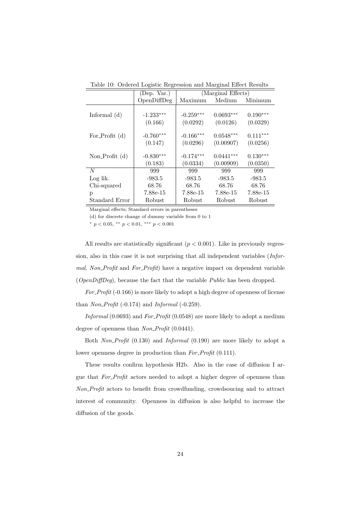| Table 10. Ordered Boglotte Regression and marginal Enect Resurs |                        |                         |                          |                        |  |  |
|-----------------------------------------------------------------|------------------------|-------------------------|--------------------------|------------------------|--|--|
|                                                                 | (Dep. Var.)            |                         | (Marginal Effects)       |                        |  |  |
|                                                                 | OpenDiffDeg            | Maximum                 | Medium                   | Minimum                |  |  |
| Informal $(d)$                                                  | $-1.233***$<br>(0.166) | $-0.259***$<br>(0.0292) | $0.0693***$<br>(0.0126)  | $0.190***$<br>(0.0329) |  |  |
| For_Profit $(d)$                                                | $-0.760***$<br>(0.147) | $-0.166***$<br>(0.0296) | $0.0548***$<br>(0.00907) | $0.111***$<br>(0.0256) |  |  |
| Non-Profit $(d)$                                                | $-0.830***$<br>(0.183) | $-0.174***$<br>(0.0334) | $0.0441***$<br>(0.00909) | $0.130***$<br>(0.0350) |  |  |
| N                                                               | 999                    | 999                     | 999                      | 999                    |  |  |
| Log lik.                                                        | $-983.5$               | $-983.5$                | $-983.5$                 | $-983.5$               |  |  |
| Chi-squared                                                     | 68.76                  | 68.76                   | 68.76                    | 68.76                  |  |  |
| p                                                               | 7.88e-15               | 7.88e-15                | 7.88e-15                 | 7.88e-15               |  |  |
| Standard Error                                                  | Robust                 | Robust                  | Robust                   | Robust                 |  |  |

Table 10: Ordered Logistic Regression and Marginal Effect Results

Marginal effects; Standard errors in parentheses

(d) for discrete change of dummy variable from 0 to 1

<sup>∗</sup> p < 0.05, ∗∗ p < 0.01, ∗∗∗ p < 0.001

All results are statistically significant  $(p < 0.001)$ . Like in previously regression, also in this case it is not surprising that all independent variables (Informal, Non\_Profit and For\_Profit) have a negative impact on dependent variable (OpenDiffDeg), because the fact that the variable Public has been dropped.

For\_Profit (-0.166) is more likely to adopt a high degree of openness of license than  $Non\_Profit( -0.174)$  and  $Information( -0.259)$ .

Informal (0.0693) and For\_Profit (0.0548) are more likely to adopt a medium degree of openness than Non\_Profit (0.0441).

Both Non-Profit (0.130) and Informal (0.190) are more likely to adopt a lower openness degree in production than  $For \textit{\_}Profit(0.111)$ .

These results confirm hypothesis H2b. Also in the case of diffusion I argue that For Profit actors needed to adopt a higher degree of openness than Non Profit actors to benefit from crowdfunding, crowdsoucing and to attract interest of community. Openness in diffusion is also helpful to increase the diffusion of the goods.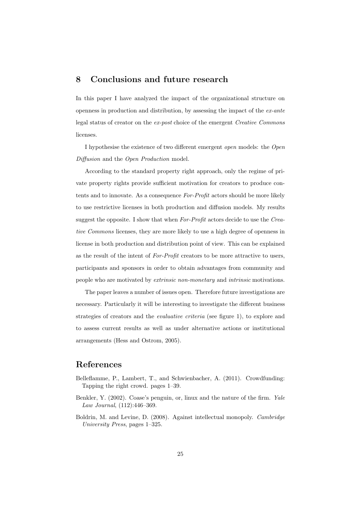# 8 Conclusions and future research

In this paper I have analyzed the impact of the organizational structure on openness in production and distribution, by assessing the impact of the  $ex$ -ante legal status of creator on the ex-post choice of the emergent Creative Commons licenses.

I hypothesise the existence of two different emergent open models: the Open Diffusion and the Open Production model.

According to the standard property right approach, only the regime of private property rights provide sufficient motivation for creators to produce contents and to innovate. As a consequence For-Profit actors should be more likely to use restrictive licenses in both production and diffusion models. My results suggest the opposite. I show that when For-Profit actors decide to use the Creative Commons licenses, they are more likely to use a high degree of openness in license in both production and distribution point of view. This can be explained as the result of the intent of For-Profit creators to be more attractive to users, participants and sponsors in order to obtain advantages from community and people who are motivated by extrinsic non-monetary and intrinsic motivations.

The paper leaves a number of issues open. Therefore future investigations are necessary. Particularly it will be interesting to investigate the different business strategies of creators and the evaluative criteria (see figure 1), to explore and to assess current results as well as under alternative actions or institutional arrangements (Hess and Ostrom, 2005).

## References

- Belleflamme, P., Lambert, T., and Schwienbacher, A. (2011). Crowdfunding: Tapping the right crowd. pages 1–39.
- Benkler, Y. (2002). Coase's penguin, or, linux and the nature of the firm. Yale Law Journal, (112):446–369.
- Boldrin, M. and Levine, D. (2008). Against intellectual monopoly. *Cambridge* University Press, pages 1–325.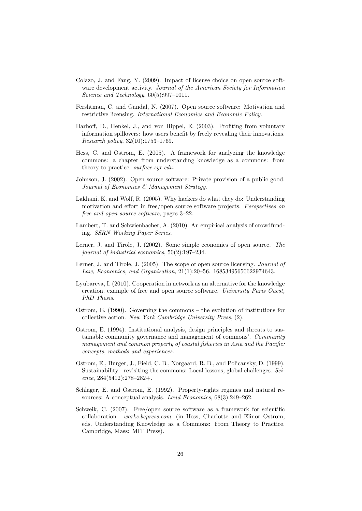- Colazo, J. and Fang, Y. (2009). Impact of license choice on open source software development activity. Journal of the American Society for Information Science and Technology,  $60(5):997-1011$ .
- Fershtman, C. and Gandal, N. (2007). Open source software: Motivation and restrictive licensing. International Economics and Economic Policy.
- Harhoff, D., Henkel, J., and von Hippel, E. (2003). Profiting from voluntary information spillovers: how users benefit by freely revealing their innovations. Research policy, 32(10):1753–1769.
- Hess, C. and Ostrom, E. (2005). A framework for analyzing the knowledge commons: a chapter from understanding knowledge as a commons: from theory to practice. surface.syr.edu.
- Johnson, J. (2002). Open source software: Private provision of a public good. Journal of Economics & Management Strategy.
- Lakhani, K. and Wolf, R. (2005). Why hackers do what they do: Understanding motivation and effort in free/open source software projects. Perspectives on free and open source software, pages 3–22.
- Lambert, T. and Schwienbacher, A. (2010). An empirical analysis of crowdfunding. SSRN Working Paper Series.
- Lerner, J. and Tirole, J. (2002). Some simple economics of open source. The journal of industrial economics, 50(2):197–234.
- Lerner, J. and Tirole, J. (2005). The scope of open source licensing. *Journal of* Law, Economics, and Organization, 21(1):20–56. 16853495650622974643.
- Lyubareva, I. (2010). Cooperation in network as an alternative for the knowledge creation. example of free and open source software. University Paris Ouest, PhD Thesis.
- Ostrom, E. (1990). Governing the commons the evolution of institutions for collective action. New York Cambridge University Press, (2).
- Ostrom, E. (1994). Institutional analysis, design principles and threats to sustainable community governance and management of commons'. Community management and common property of coastal fisheries in Asia and the Pacific: concepts, methods and experiences.
- Ostrom, E., Burger, J., Field, C. B., Norgaard, R. B., and Policansky, D. (1999). Sustainability - revisiting the commons: Local lessons, global challenges. Science, 284(5412):278–282+.
- Schlager, E. and Ostrom, E. (1992). Property-rights regimes and natural resources: A conceptual analysis. Land Economics, 68(3):249–262.
- Schweik, C. (2007). Free/open source software as a framework for scientific collaboration. works.bepress.com, (in Hess, Charlotte and Elinor Ostrom, eds. Understanding Knowledge as a Commons: From Theory to Practice. Cambridge, Mass: MIT Press).